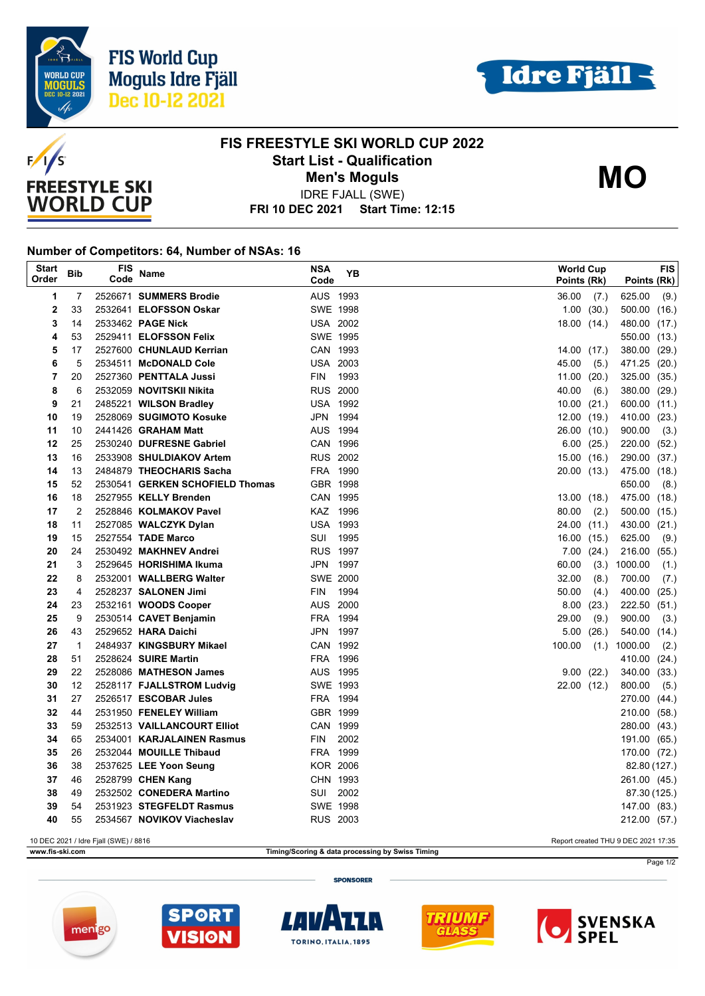





## **FIS FREESTYLE SKI WORLD CUP 2022 Start List - Qualification Men's Moguls MO**

**FRI 10 DEC 2021 Start Time: 12:15** IDRE FJALL (SWE)

## **Number of Competitors: 64, Number of NSAs: 16**

| <b>Start</b><br>Order                                                        | <b>Bib</b>   | FIS<br>Code | Name                                               | <b>NSA</b><br>Code   | YB   | <b>World Cup</b><br>Points (Rk) |             | Points (Rk)            | <b>FIS</b> |
|------------------------------------------------------------------------------|--------------|-------------|----------------------------------------------------|----------------------|------|---------------------------------|-------------|------------------------|------------|
| 1                                                                            | 7            |             | 2526671 SUMMERS Brodie                             | AUS 1993             |      | 36.00                           | (7.)        | 625.00                 | (9.)       |
| 2                                                                            | 33           |             | 2532641 ELOFSSON Oskar                             | SWE 1998             |      |                                 | 1.00(30.)   | $500.00$ $(16.)$       |            |
| 3                                                                            | 14           |             | 2533462 PAGE Nick                                  | <b>USA 2002</b>      |      | 18.00(14)                       |             | 480.00 (17.)           |            |
| 4                                                                            | 53           |             | 2529411 ELOFSSON Felix                             | SWE 1995             |      |                                 |             | 550.00 (13.)           |            |
| 5                                                                            | 17           |             | 2527600 CHUNLAUD Kerrian                           | CAN 1993             |      | 14.00(17.)                      |             | 380.00 (29.)           |            |
| 6                                                                            | 5            |             | 2534511 McDONALD Cole                              | <b>USA 2003</b>      |      | 45.00                           | (5.)        | 471.25 (20.)           |            |
| $\overline{7}$                                                               | 20           |             | 2527360 PENTTALA Jussi                             | <b>FIN</b>           | 1993 | 11.00                           | (20.)       | 325.00 (35.)           |            |
| 8                                                                            | 6            |             | 2532059 NOVITSKII Nikita                           | <b>RUS 2000</b>      |      | 40.00                           | (6.)        | 380.00 (29.)           |            |
| 9                                                                            | 21           |             | 2485221 WILSON Bradley                             | <b>USA 1992</b>      |      | 10.00(21.)                      |             | 600.00 (11.)           |            |
| 10                                                                           | 19           |             | 2528069 SUGIMOTO Kosuke                            | JPN 1994             |      | 12.00(19.)                      |             | 410.00 (23.)           |            |
| 11                                                                           | 10           |             | 2441426 <b>GRAHAM Matt</b>                         | AUS 1994             |      | 26.00 (10.)                     |             | 900.00                 | (3.)       |
| 12                                                                           | 25           |             | 2530240 DUFRESNE Gabriel                           | CAN 1996             |      |                                 | 6.00(25.)   | 220.00 (52.)           |            |
| 13                                                                           | 16           |             | 2533908 SHULDIAKOV Artem                           | <b>RUS 2002</b>      |      |                                 | 15.00 (16.) | 290.00 (37.)           |            |
| 14                                                                           | 13           |             | 2484879 THEOCHARIS Sacha                           | FRA 1990             |      | 20.00 (13.)                     |             | 475.00 (18.)           |            |
| 15                                                                           | 52           |             | 2530541 GERKEN SCHOFIELD Thomas                    | GBR 1998             |      |                                 |             | 650.00                 | (8.)       |
| 16                                                                           | 18           |             | 2527955 KELLY Brenden                              | CAN 1995             |      | 13.00(18.)                      |             | 475.00 (18.)           |            |
| 17                                                                           | 2            |             | 2528846 KOLMAKOV Pavel                             | KAZ 1996             |      | 80.00                           | (2.)        | 500.00 (15.)           |            |
| 18                                                                           | 11           |             | 2527085 WALCZYK Dylan                              | <b>USA 1993</b>      |      | 24.00                           | (11.)       | 430.00                 | (21.)      |
| 19                                                                           | 15           |             | 2527554 TADE Marco                                 | SUI 1995             |      | 16.00 (15.)                     |             | 625.00                 | (9.)       |
| 20                                                                           | 24           |             | 2530492 MAKHNEV Andrei                             | <b>RUS 1997</b>      |      |                                 | 7.00(24.)   | 216.00 (55.)           |            |
| 21                                                                           | 3            |             | 2529645 HORISHIMA Ikuma                            | JPN 1997             |      | 60.00                           | (3.)        | 1000.00                | (1.)       |
| 22                                                                           | 8            |             | 2532001 WALLBERG Walter                            | <b>SWE 2000</b>      |      | 32.00                           | (8.)        | 700.00                 | (7.)       |
| 23                                                                           | 4            |             | 2528237 SALONEN Jimi                               | FIN                  | 1994 | 50.00                           | (4.)        | 400.00 (25.)           |            |
| 24                                                                           | 23           |             | 2532161 WOODS Cooper                               | AUS 2000             |      |                                 | 8.00(23.)   | 222.50 (51.)           |            |
| 25                                                                           | 9            |             | 2530514 CAVET Benjamin                             | FRA 1994             |      | 29.00                           | (9.)        | 900.00                 | (3.)       |
| 26                                                                           | 43           |             | 2529652 HARA Daichi                                | JPN 1997             |      | 5.00                            | (26.)       | 540.00 (14.)           |            |
| 27                                                                           | $\mathbf{1}$ |             | 2484937 KINGSBURY Mikael                           | CAN 1992             |      | 100.00                          | (1.)        | 1000.00                | (2.)       |
| 28<br>29                                                                     | 51           |             | 2528624 SUIRE Martin<br>2528086 MATHESON James     | FRA 1996<br>AUS 1995 |      |                                 |             | 410.00 (24.)           |            |
| 30                                                                           | 22<br>12     |             |                                                    | SWE 1993             |      |                                 | 9.00(22)    | 340.00 (33.)           |            |
| 31                                                                           | 27           |             | 2528117 FJALLSTROM Ludvig<br>2526517 ESCOBAR Jules | FRA 1994             |      | 22.00 (12.)                     |             | 800.00<br>270.00 (44.) | (5.)       |
| 32                                                                           | 44           |             | 2531950 FENELEY William                            | GBR 1999             |      |                                 |             | 210.00 (58.)           |            |
| 33                                                                           | 59           |             | 2532513 VAILLANCOURT Elliot                        | CAN 1999             |      |                                 |             | 280.00 (43.)           |            |
| 34                                                                           | 65           |             | 2534001 KARJALAINEN Rasmus                         | FIN                  | 2002 |                                 |             | 191.00 (65.)           |            |
| 35                                                                           | 26           |             | 2532044 MOUILLE Thibaud                            | FRA 1999             |      |                                 |             | 170.00 (72.)           |            |
| 36                                                                           | 38           |             | 2537625 LEE Yoon Seung                             | <b>KOR 2006</b>      |      |                                 |             | 82.80 (127.)           |            |
| 37                                                                           | 46           |             | 2528799 CHEN Kang                                  | CHN 1993             |      |                                 |             | 261.00 (45.)           |            |
| 38                                                                           | 49           |             | 2532502 CONEDERA Martino                           | SUI                  | 2002 |                                 |             | 87.30 (125.)           |            |
| 39                                                                           | 54           |             | 2531923 STEGFELDT Rasmus                           | SWE 1998             |      |                                 |             | 147.00 (83.)           |            |
| 40                                                                           | 55           |             | 2534567 NOVIKOV Viacheslav                         | <b>RUS 2003</b>      |      |                                 |             | 212.00 (57.)           |            |
| 10 DEC 2021 / Idre Fjall (SWE) / 8816<br>Report created THU 9 DEC 2021 17:35 |              |             |                                                    |                      |      |                                 |             |                        |            |

**www.fis-ski.com Timing/Scoring & data processing by Swiss Timing**

**SPONSORER** 











Page 1/2